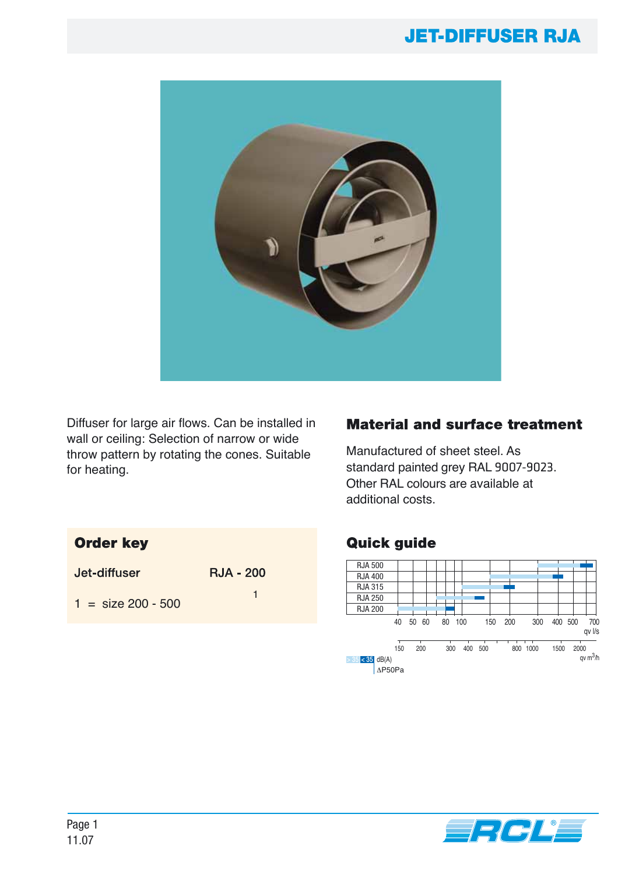

Diffuser for large air flows. Can be installed in wall or ceiling: Selection of narrow or wide throw pattern by rotating the cones. Suitable for heating.

#### **Material and surface treatment**

Manufactured of sheet steel. As standard painted grey RAL 9007-9023. Other RAL colours are available at additional costs.

## **Order key**

| Jet-diffuser         | <b>RJA - 200</b> |  |  |
|----------------------|------------------|--|--|
| $1 = size 200 - 500$ |                  |  |  |

## **Quick guide**



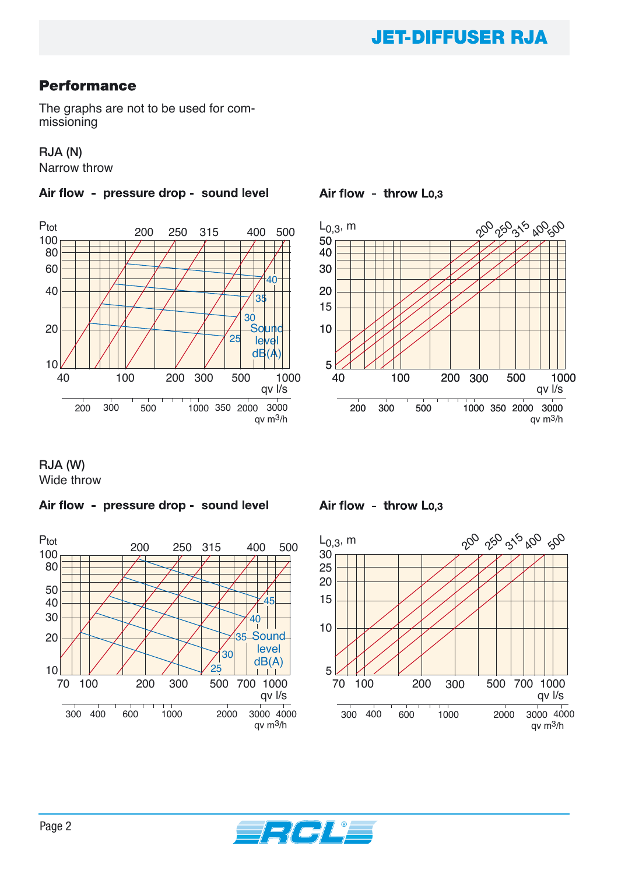## **Performance**

The graphs are not to be used for commissioning

#### **RJA (N)**

Narrow throw

Air flow - pressure drop - sound level



Air flow - throw Lo,3



**RJA (W)** Wide throw

#### Air flow - pressure drop - sound level



Air flow - throw Lo.3



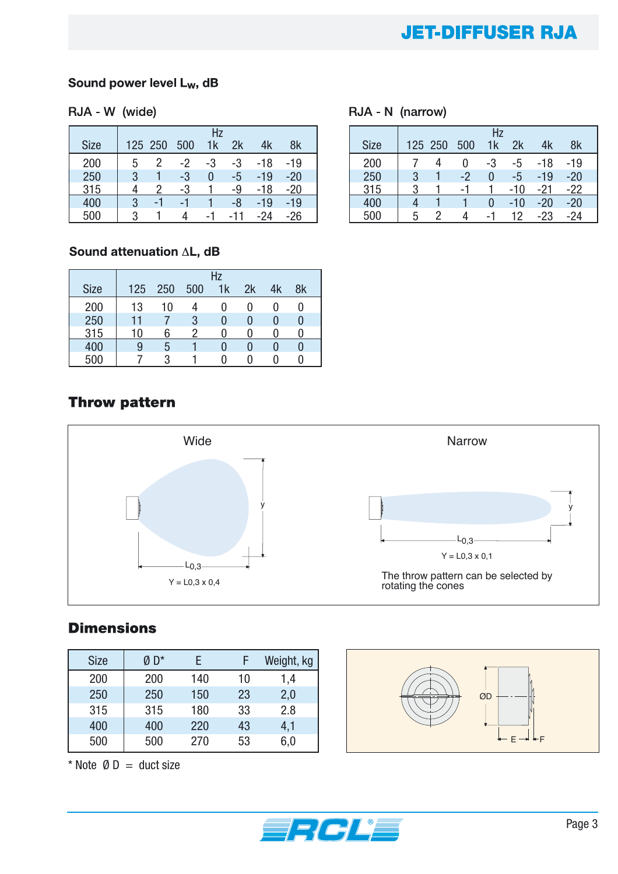#### Sound power level L<sub>w</sub>, dB

#### RJA - W (wide)

|             | Hz |         |      |    |     |       |       |
|-------------|----|---------|------|----|-----|-------|-------|
| <b>Size</b> |    | 125 250 | 500  | 1k | 2k  | 4k    | 8k    |
| 200         | 5  | 2       | $-2$ | -3 | -3  | -18   | -19   |
| 250         | 3  |         | -3   | 0  | -5  | -19   | -20   |
| 315         |    |         | -3   |    | -9  | $-18$ | -20   |
| 400         | 3  | -1      | -1   |    | -8  | -19   | -19   |
| 500         | 3  |         |      | -1 | -11 | -24   | $-26$ |

#### RJA - N (narrow)

|             | Hz |         |     |          |       |       |       |
|-------------|----|---------|-----|----------|-------|-------|-------|
| <b>Size</b> |    | 125 250 | 500 | 1k       | 2k    | 4k    | 8k    |
| 200         |    |         |     | -3       | -5    | -18   | -19   |
| 250         | 3  |         | -2  | O        | -5    | -19   | $-20$ |
| 315         | 3  |         | -1  |          | $-10$ | -21   | $-22$ |
| 400         |    |         |     | $\Omega$ | $-10$ | $-20$ | $-20$ |
| 500         | 5  |         |     | -1       | 12    | -23   | -24   |

#### Sound attenuation AL, dB

|             | Hz  |     |     |    |    |    |    |
|-------------|-----|-----|-----|----|----|----|----|
| <b>Size</b> | 125 | 250 | 500 | 1k | 2k | 4k | 8k |
| 200         | 13  | 10  |     |    |    |    |    |
| 250         | 11  |     | 3   | 0  |    | 0  |    |
| 315         | 10  |     | റ   |    |    |    |    |
| 400         | 9   | ხ   |     | 0  |    |    |    |
| 500         |     |     |     |    |    |    |    |

## **Throw pattern**



## **Dimensions**

| <b>Size</b> | Ø D* |     |    | Weight, kg |
|-------------|------|-----|----|------------|
| 200         | 200  | 140 | 10 | 1,4        |
| 250         | 250  | 150 | 23 | 2,0        |
| 315         | 315  | 180 | 33 | 2.8        |
| 400         | 400  | 220 | 43 | 4,1        |
| 500         | 500  | 270 | 53 | 6,0        |

\* Note  $\emptyset$  D = duct size